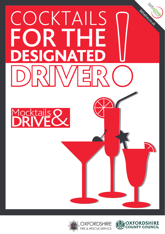